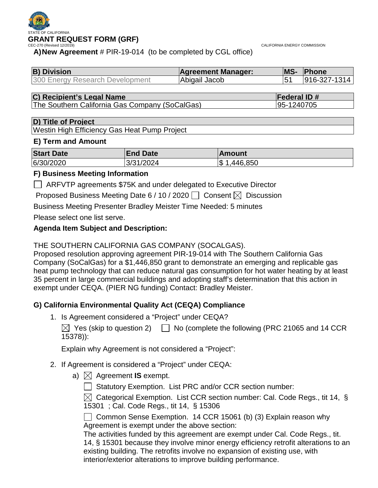

CALIFORNIA ENERGY COMMISSION

**A)New Agreement** # PIR-19-014 (to be completed by CGL office)

| <b>B) Division</b>              | <b>Agreement Manager:</b> | <b>MS-</b> | <b>Phone</b>     |
|---------------------------------|---------------------------|------------|------------------|
| 300 Energy Research Development | Abigail Jacob             |            | $ 916-327-1314 $ |

**C) Recipient's Legal Name**<br>
The Southern California Gas Company (SoCalGas) 85-1240705 The Southern California Gas Company (SoCalGas)

#### **D) Title of Project**

Westin High Efficiency Gas Heat Pump Project

### **E) Term and Amount**

| <b>Start Date</b> | <b>End Date</b> | Amount        |
|-------------------|-----------------|---------------|
| 6/30/2020         | 3/31/2024       | 446,850<br>\$ |

### **F) Business Meeting Information**

ARFVTP agreements \$75K and under delegated to Executive Director

Proposed Business Meeting Date 6 / 10 / 2020  $\Box$  Consent  $\boxtimes$  Discussion

Business Meeting Presenter Bradley Meister Time Needed: 5 minutes

Please select one list serve.

### **Agenda Item Subject and Description:**

### THE SOUTHERN CALIFORNIA GAS COMPANY (SOCALGAS).

Proposed resolution approving agreement PIR-19-014 with The Southern California Gas Company (SoCalGas) for a \$1,446,850 grant to demonstrate an emerging and replicable gas heat pump technology that can reduce natural gas consumption for hot water heating by at least 35 percent in large commercial buildings and adopting staff's determination that this action in exempt under CEQA. (PIER NG funding) Contact: Bradley Meister.

## **G) California Environmental Quality Act (CEQA) Compliance**

1. Is Agreement considered a "Project" under CEQA?

 $\boxtimes$  Yes (skip to question 2)  $\Box$  No (complete the following (PRC 21065 and 14 CCR 15378)):

Explain why Agreement is not considered a "Project":

### 2. If Agreement is considered a "Project" under CEQA:

a)  $\boxtimes$  Agreement **IS** exempt.

 $\Box$  Statutory Exemption. List PRC and/or CCR section number:

 $\boxtimes$  Categorical Exemption. List CCR section number: Cal. Code Regs., tit 14, § 15301 ; Cal. Code Regs., tit 14, § 15306

 $\Box$  Common Sense Exemption. 14 CCR 15061 (b) (3) Explain reason why Agreement is exempt under the above section:

The activities funded by this agreement are exempt under Cal. Code Regs., tit. 14, § 15301 because they involve minor energy efficiency retrofit alterations to an existing building. The retrofits involve no expansion of existing use, with interior/exterior alterations to improve building performance.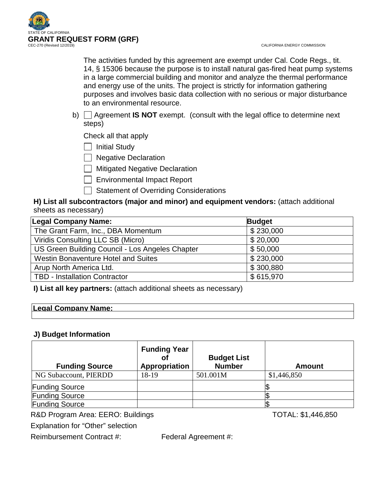

The activities funded by this agreement are exempt under Cal. Code Regs., tit. 14, § 15306 because the purpose is to install natural gas-fired heat pump systems in a large commercial building and monitor and analyze the thermal performance and energy use of the units. The project is strictly for information gathering purposes and involves basic data collection with no serious or major disturbance to an environmental resource.

b) Agreement **IS NOT** exempt. (consult with the legal office to determine next steps)

Check all that apply

 $\Box$  Initial Study

**Negative Declaration** 

**Mitigated Negative Declaration** 

Environmental Impact Report

Statement of Overriding Considerations

**H) List all subcontractors (major and minor) and equipment vendors:** (attach additional sheets as necessary)

| <b>Legal Company Name:</b>                      | <b>Budget</b> |
|-------------------------------------------------|---------------|
| The Grant Farm, Inc., DBA Momentum              | \$230,000     |
| Viridis Consulting LLC SB (Micro)               | \$20,000      |
| US Green Building Council - Los Angeles Chapter | \$50,000      |
| Westin Bonaventure Hotel and Suites             | \$230,000     |
| Arup North America Ltd.                         | \$300,880     |
| <b>TBD - Installation Contractor</b>            | \$615,970     |

**I) List all key partners:** (attach additional sheets as necessary)

### **Legal Company Name:**

### **J) Budget Information**

| <b>Funding Source</b> | <b>Funding Year</b><br>Appropriation | <b>Budget List</b><br><b>Number</b> | <b>Amount</b> |
|-----------------------|--------------------------------------|-------------------------------------|---------------|
| NG Subaccount, PIERDD | 18-19                                | 501.001M                            | \$1,446,850   |
| <b>Funding Source</b> |                                      |                                     |               |
| <b>Funding Source</b> |                                      |                                     |               |
| <b>Funding Source</b> |                                      |                                     |               |

R&D Program Area: EERO: Buildings TOTAL: \$1,446,850

Explanation for "Other" selection

Reimbursement Contract #: Federal Agreement #: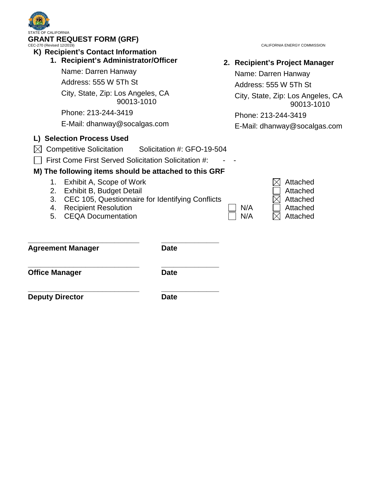| STATE OF CALIFORNIA<br><b>GRANT REQUEST FORM (GRF)</b><br>CEC-270 (Revised 12/2019)<br>K) Recipient's Contact Information                                                                                                                                                                                              |                            |            | CALIFORNIA ENERGY COMMISSION                                                                                                                                                             |
|------------------------------------------------------------------------------------------------------------------------------------------------------------------------------------------------------------------------------------------------------------------------------------------------------------------------|----------------------------|------------|------------------------------------------------------------------------------------------------------------------------------------------------------------------------------------------|
| 1. Recipient's Administrator/Officer<br>Name: Darren Hanway<br>Address: 555 W 5Th St<br>City, State, Zip: Los Angeles, CA<br>90013-1010<br>Phone: 213-244-3419<br>E-Mail: dhanway@socalgas.com<br>L) Selection Process Used<br><b>Competitive Solicitation</b><br>First Come First Served Solicitation Solicitation #: | Solicitation #: GFO-19-504 |            | 2. Recipient's Project Manager<br>Name: Darren Hanway<br>Address: 555 W 5Th St<br>City, State, Zip: Los Angeles, CA<br>90013-1010<br>Phone: 213-244-3419<br>E-Mail: dhanway@socalgas.com |
| M) The following items should be attached to this GRF<br>Exhibit A, Scope of Work<br>1.<br>2.<br>Exhibit B, Budget Detail<br>3.<br>CEC 105, Questionnaire for Identifying Conflicts<br><b>Recipient Resolution</b><br>4.<br><b>CEQA Documentation</b><br>5.                                                            |                            | N/A<br>N/A | Attached<br>Attached<br>Attached<br>Attached<br>Attached                                                                                                                                 |
| <b>Agreement Manager</b>                                                                                                                                                                                                                                                                                               | <b>Date</b>                |            |                                                                                                                                                                                          |
| <b>Office Manager</b>                                                                                                                                                                                                                                                                                                  | <b>Date</b>                |            |                                                                                                                                                                                          |
| <b>Deputy Director</b>                                                                                                                                                                                                                                                                                                 | <b>Date</b>                |            |                                                                                                                                                                                          |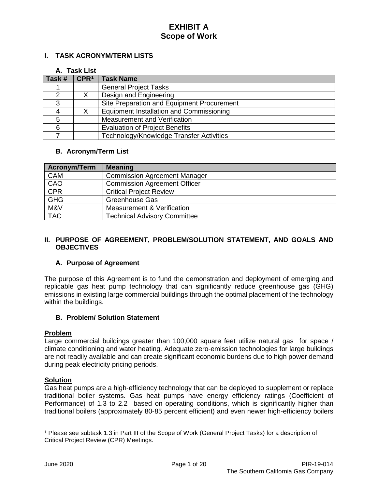### **I. TASK ACRONYM/TERM LISTS**

#### **A. Task List**

| Task # | CPR <sup>1</sup> | <b>Task Name</b>                           |
|--------|------------------|--------------------------------------------|
|        |                  | <b>General Project Tasks</b>               |
|        |                  | Design and Engineering                     |
|        |                  | Site Preparation and Equipment Procurement |
|        |                  | Equipment Installation and Commissioning   |
|        |                  | Measurement and Verification               |
| 6      |                  | <b>Evaluation of Project Benefits</b>      |
|        |                  | Technology/Knowledge Transfer Activities   |

#### **B. Acronym/Term List**

| <b>Acronym/Term</b> | <b>Meaning</b>                      |
|---------------------|-------------------------------------|
| <b>CAM</b>          | <b>Commission Agreement Manager</b> |
| CAO                 | <b>Commission Agreement Officer</b> |
| CPR                 | <b>Critical Project Review</b>      |
| <b>GHG</b>          | <b>Greenhouse Gas</b>               |
| M&V                 | Measurement & Verification          |
| <b>TAC</b>          | <b>Technical Advisory Committee</b> |

#### **II. PURPOSE OF AGREEMENT, PROBLEM/SOLUTION STATEMENT, AND GOALS AND OBJECTIVES**

#### **A. Purpose of Agreement**

The purpose of this Agreement is to fund the demonstration and deployment of emerging and replicable gas heat pump technology that can significantly reduce greenhouse gas (GHG) emissions in existing large commercial buildings through the optimal placement of the technology within the buildings.

#### **B. Problem/ Solution Statement**

#### **Problem**

Large commercial buildings greater than 100,000 square feet utilize natural gas for space / climate conditioning and water heating. Adequate zero-emission technologies for large buildings are not readily available and can create significant economic burdens due to high power demand during peak electricity pricing periods.

#### **Solution**

Gas heat pumps are a high-efficiency technology that can be deployed to supplement or replace traditional boiler systems. Gas heat pumps have energy efficiency ratings (Coefficient of Performance) of 1.3 to 2.2 based on operating conditions, which is significantly higher than traditional boilers (approximately 80-85 percent efficient) and even newer high-efficiency boilers

 $\overline{a}$ 

<span id="page-3-0"></span><sup>1</sup> Please see subtask 1.3 in Part III of the Scope of Work (General Project Tasks) for a description of Critical Project Review (CPR) Meetings.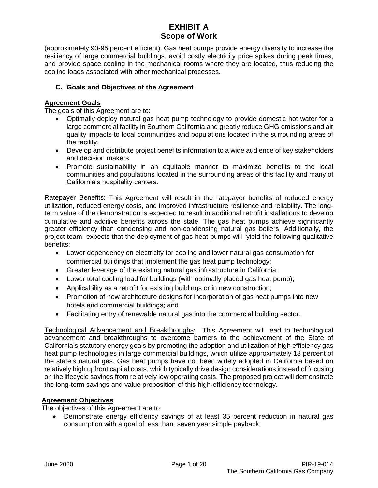(approximately 90-95 percent efficient). Gas heat pumps provide energy diversity to increase the resiliency of large commercial buildings, avoid costly electricity price spikes during peak times, and provide space cooling in the mechanical rooms where they are located, thus reducing the cooling loads associated with other mechanical processes.

### **C. Goals and Objectives of the Agreement**

### **Agreement Goals**

The goals of this Agreement are to:

- Optimally deploy natural gas heat pump technology to provide domestic hot water for a large commercial facility in Southern California and greatly reduce GHG emissions and air quality impacts to local communities and populations located in the surrounding areas of the facility.
- Develop and distribute project benefits information to a wide audience of key stakeholders and decision makers.
- Promote sustainability in an equitable manner to maximize benefits to the local communities and populations located in the surrounding areas of this facility and many of California's hospitality centers.

Ratepayer Benefits: This Agreement will result in the ratepayer benefits of reduced energy utilization, reduced energy costs, and improved infrastructure resilience and reliability. The longterm value of the demonstration is expected to result in additional retrofit installations to develop cumulative and additive benefits across the state. The gas heat pumps achieve significantly greater efficiency than condensing and non-condensing natural gas boilers. Additionally, the project team expects that the deployment of gas heat pumps will yield the following qualitative benefits:

- Lower dependency on electricity for cooling and lower natural gas consumption for commercial buildings that implement the gas heat pump technology;
- Greater leverage of the existing natural gas infrastructure in California;
- Lower total cooling load for buildings (with optimally placed gas heat pump);
- Applicability as a retrofit for existing buildings or in new construction;
- Promotion of new architecture designs for incorporation of gas heat pumps into new hotels and commercial buildings; and
- Facilitating entry of renewable natural gas into the commercial building sector.

Technological Advancement and Breakthroughs: This Agreement will lead to technological advancement and breakthroughs to overcome barriers to the achievement of the State of California's statutory energy goals by promoting the adoption and utilization of high efficiency gas heat pump technologies in large commercial buildings, which utilize approximately 18 percent of the state's natural gas. Gas heat pumps have not been widely adopted in California based on relatively high upfront capital costs, which typically drive design considerations instead of focusing on the lifecycle savings from relatively low operating costs. The proposed project will demonstrate the long-term savings and value proposition of this high-efficiency technology.

#### **Agreement Objectives**

The objectives of this Agreement are to:

• Demonstrate energy efficiency savings of at least 35 percent reduction in natural gas consumption with a goal of less than seven year simple payback.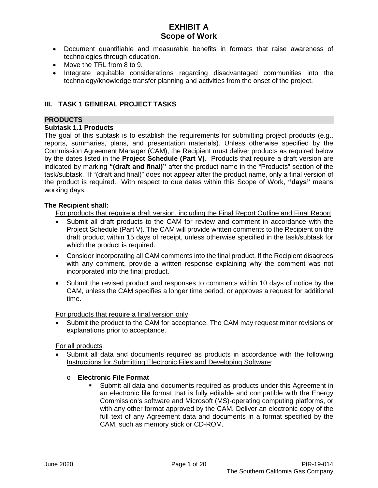- Document quantifiable and measurable benefits in formats that raise awareness of technologies through education.
- Move the TRL from 8 to 9.
- Integrate equitable considerations regarding disadvantaged communities into the technology/knowledge transfer planning and activities from the onset of the project.

### **III. TASK 1 GENERAL PROJECT TASKS**

### **PRODUCTS**

#### **Subtask 1.1 Products**

The goal of this subtask is to establish the requirements for submitting project products (e.g., reports, summaries, plans, and presentation materials). Unless otherwise specified by the Commission Agreement Manager (CAM), the Recipient must deliver products as required below by the dates listed in the **Project Schedule (Part V).** Products that require a draft version are indicated by marking **"(draft and final)"** after the product name in the "Products" section of the task/subtask. If "(draft and final)" does not appear after the product name, only a final version of the product is required. With respect to due dates within this Scope of Work, **"days"** means working days.

#### **The Recipient shall:**

For products that require a draft version, including the Final Report Outline and Final Report

- Submit all draft products to the CAM for review and comment in accordance with the Project Schedule (Part V). The CAM will provide written comments to the Recipient on the draft product within 15 days of receipt, unless otherwise specified in the task/subtask for which the product is required.
- Consider incorporating all CAM comments into the final product. If the Recipient disagrees with any comment, provide a written response explaining why the comment was not incorporated into the final product.
- Submit the revised product and responses to comments within 10 days of notice by the CAM, unless the CAM specifies a longer time period, or approves a request for additional time.

#### For products that require a final version only

• Submit the product to the CAM for acceptance. The CAM may request minor revisions or explanations prior to acceptance.

### For all products

• Submit all data and documents required as products in accordance with the following Instructions for Submitting Electronic Files and Developing Software:

#### o **Electronic File Format**

 Submit all data and documents required as products under this Agreement in an electronic file format that is fully editable and compatible with the Energy Commission's software and Microsoft (MS)-operating computing platforms, or with any other format approved by the CAM. Deliver an electronic copy of the full text of any Agreement data and documents in a format specified by the CAM, such as memory stick or CD-ROM.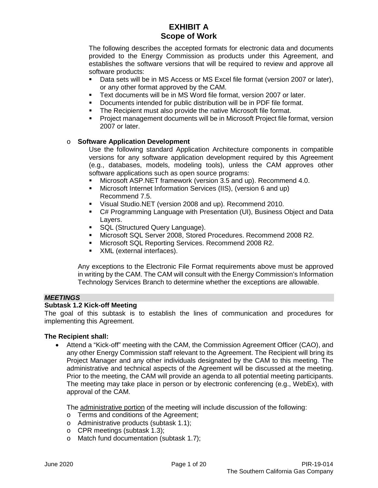The following describes the accepted formats for electronic data and documents provided to the Energy Commission as products under this Agreement, and establishes the software versions that will be required to review and approve all software products:

- Data sets will be in MS Access or MS Excel file format (version 2007 or later), or any other format approved by the CAM.
- Text documents will be in MS Word file format, version 2007 or later.
- Documents intended for public distribution will be in PDF file format.<br>The Recipient must also provide the native Microsoft file format
- The Recipient must also provide the native Microsoft file format.
- Project management documents will be in Microsoft Project file format, version 2007 or later.

#### o **Software Application Development**

Use the following standard Application Architecture components in compatible versions for any software application development required by this Agreement (e.g., databases, models, modeling tools), unless the CAM approves other software applications such as open source programs:

- Microsoft ASP.NET framework (version 3.5 and up). Recommend 4.0.
- Microsoft Internet Information Services (IIS), (version 6 and up) Recommend 7.5.
- Visual Studio.NET (version 2008 and up). Recommend 2010.
- C# Programming Language with Presentation (UI), Business Object and Data Layers.
- **SQL (Structured Query Language).**
- Microsoft SQL Server 2008, Stored Procedures. Recommend 2008 R2.
- Microsoft SQL Reporting Services. Recommend 2008 R2.
- **XML** (external interfaces).

Any exceptions to the Electronic File Format requirements above must be approved in writing by the CAM. The CAM will consult with the Energy Commission's Information Technology Services Branch to determine whether the exceptions are allowable.

#### *MEETINGS*

#### **Subtask 1.2 Kick-off Meeting**

The goal of this subtask is to establish the lines of communication and procedures for implementing this Agreement.

#### **The Recipient shall:**

• Attend a "Kick-off" meeting with the CAM, the Commission Agreement Officer (CAO), and any other Energy Commission staff relevant to the Agreement. The Recipient will bring its Project Manager and any other individuals designated by the CAM to this meeting. The administrative and technical aspects of the Agreement will be discussed at the meeting. Prior to the meeting, the CAM will provide an agenda to all potential meeting participants. The meeting may take place in person or by electronic conferencing (e.g., WebEx), with approval of the CAM.

The administrative portion of the meeting will include discussion of the following:

- o Terms and conditions of the Agreement;
- o Administrative products (subtask 1.1);
- o CPR meetings (subtask 1.3);
- o Match fund documentation (subtask 1.7);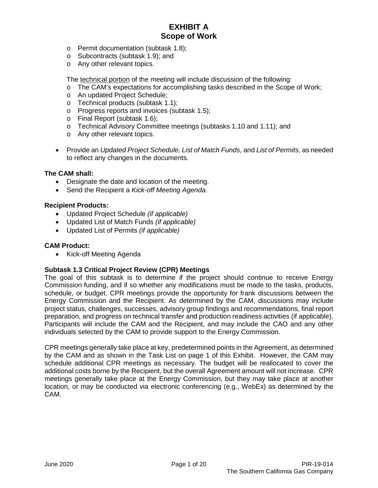- o Permit documentation (subtask 1.8);
- o Subcontracts (subtask 1.9); and
- o Any other relevant topics.

The technical portion of the meeting will include discussion of the following:

- o The CAM's expectations for accomplishing tasks described in the Scope of Work;
- o An updated Project Schedule;
- o Technical products (subtask 1.1);
- o Progress reports and invoices (subtask 1.5);
- o Final Report (subtask 1.6);
- o Technical Advisory Committee meetings (subtasks 1.10 and 1.11); and
- o Any other relevant topics.
- Provide an *Updated Project Schedule, List of Match Funds,* and *List of Permits*, as needed to reflect any changes in the documents.

#### **The CAM shall:**

- Designate the date and location of the meeting.
- Send the Recipient a *Kick-off Meeting Agenda*.

#### **Recipient Products:**

- Updated Project Schedule *(if applicable)*
- Updated List of Match Funds *(if applicable)*
- Updated List of Permits *(if applicable)*

#### **CAM Product:**

• Kick-off Meeting Agenda

### **Subtask 1.3 Critical Project Review (CPR) Meetings**

The goal of this subtask is to determine if the project should continue to receive Energy Commission funding, and if so whether any modifications must be made to the tasks, products, schedule, or budget. CPR meetings provide the opportunity for frank discussions between the Energy Commission and the Recipient. As determined by the CAM, discussions may include project status, challenges, successes, advisory group findings and recommendations, final report preparation, and progress on technical transfer and production readiness activities (if applicable). Participants will include the CAM and the Recipient, and may include the CAO and any other individuals selected by the CAM to provide support to the Energy Commission.

CPR meetings generally take place at key, predetermined points in the Agreement, as determined by the CAM and as shown in the Task List on page 1 of this Exhibit. However, the CAM may schedule additional CPR meetings as necessary. The budget will be reallocated to cover the additional costs borne by the Recipient, but the overall Agreement amount will not increase. CPR meetings generally take place at the Energy Commission, but they may take place at another location, or may be conducted via electronic conferencing (e.g., WebEx) as determined by the CAM.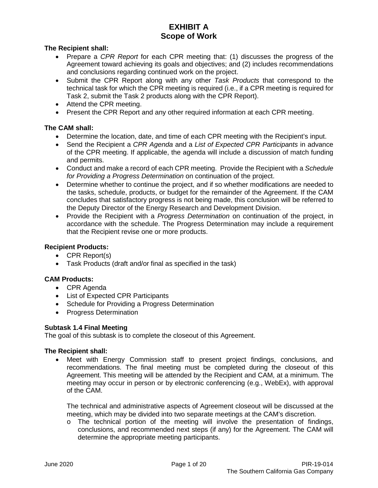**The Recipient shall:**

- Prepare a *CPR Report* for each CPR meeting that: (1) discusses the progress of the Agreement toward achieving its goals and objectives; and (2) includes recommendations and conclusions regarding continued work on the project.
- Submit the CPR Report along with any other *Task Products* that correspond to the technical task for which the CPR meeting is required (i.e., if a CPR meeting is required for Task 2, submit the Task 2 products along with the CPR Report).
- Attend the CPR meeting.
- Present the CPR Report and any other required information at each CPR meeting.

### **The CAM shall:**

- Determine the location, date, and time of each CPR meeting with the Recipient's input.
- Send the Recipient a *CPR Agenda* and a *List of Expected CPR Participants* in advance of the CPR meeting. If applicable, the agenda will include a discussion of match funding and permits.
- Conduct and make a record of each CPR meeting. Provide the Recipient with a *Schedule for Providing a Progress Determination* on continuation of the project.
- Determine whether to continue the project, and if so whether modifications are needed to the tasks, schedule, products, or budget for the remainder of the Agreement. If the CAM concludes that satisfactory progress is not being made, this conclusion will be referred to the Deputy Director of the Energy Research and Development Division.
- Provide the Recipient with a *Progress Determination* on continuation of the project, in accordance with the schedule. The Progress Determination may include a requirement that the Recipient revise one or more products.

### **Recipient Products:**

- CPR Report(s)
- Task Products (draft and/or final as specified in the task)

### **CAM Products:**

- CPR Agenda
- List of Expected CPR Participants
- Schedule for Providing a Progress Determination
- Progress Determination

### **Subtask 1.4 Final Meeting**

The goal of this subtask is to complete the closeout of this Agreement.

### **The Recipient shall:**

• Meet with Energy Commission staff to present project findings, conclusions, and recommendations. The final meeting must be completed during the closeout of this Agreement. This meeting will be attended by the Recipient and CAM, at a minimum. The meeting may occur in person or by electronic conferencing (e.g., WebEx), with approval of the CAM.

The technical and administrative aspects of Agreement closeout will be discussed at the meeting, which may be divided into two separate meetings at the CAM's discretion.

 $\circ$  The technical portion of the meeting will involve the presentation of findings, conclusions, and recommended next steps (if any) for the Agreement. The CAM will determine the appropriate meeting participants.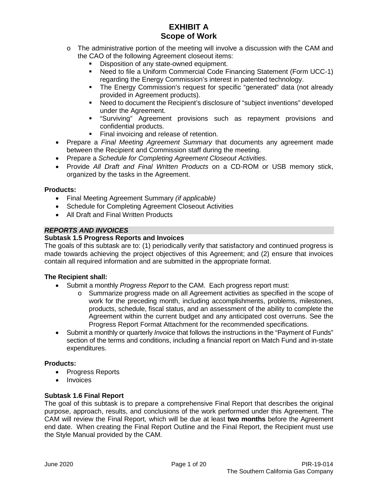- $\circ$  The administrative portion of the meeting will involve a discussion with the CAM and the CAO of the following Agreement closeout items:
	- Disposition of any state-owned equipment.
	- Need to file a Uniform Commercial Code Financing Statement (Form UCC-1) regarding the Energy Commission's interest in patented technology.
	- The Energy Commission's request for specific "generated" data (not already provided in Agreement products).
	- Need to document the Recipient's disclosure of "subject inventions" developed under the Agreement.
	- "Surviving" Agreement provisions such as repayment provisions and confidential products.
	- Final invoicing and release of retention.
- Prepare a *Final Meeting Agreement Summary* that documents any agreement made between the Recipient and Commission staff during the meeting.
- Prepare a *Schedule for Completing Agreement Closeout Activities*.
- Provide *All Draft and Final Written Products* on a CD-ROM or USB memory stick, organized by the tasks in the Agreement.

### **Products:**

- Final Meeting Agreement Summary *(if applicable)*
- Schedule for Completing Agreement Closeout Activities
- All Draft and Final Written Products

### *REPORTS AND INVOICES*

#### **Subtask 1.5 Progress Reports and Invoices**

The goals of this subtask are to: (1) periodically verify that satisfactory and continued progress is made towards achieving the project objectives of this Agreement; and (2) ensure that invoices contain all required information and are submitted in the appropriate format.

#### **The Recipient shall:**

- Submit a monthly *Progress Report* to the CAM. Each progress report must:
	- o Summarize progress made on all Agreement activities as specified in the scope of work for the preceding month, including accomplishments, problems, milestones, products, schedule, fiscal status, and an assessment of the ability to complete the Agreement within the current budget and any anticipated cost overruns. See the Progress Report Format Attachment for the recommended specifications.
- Submit a monthly or quarterly *Invoice* that follows the instructions in the "Payment of Funds" section of the terms and conditions, including a financial report on Match Fund and in-state expenditures.

#### **Products:**

- Progress Reports
- **Invoices**

#### **Subtask 1.6 Final Report**

The goal of this subtask is to prepare a comprehensive Final Report that describes the original purpose, approach, results, and conclusions of the work performed under this Agreement. The CAM will review the Final Report, which will be due at least **two months** before the Agreement end date. When creating the Final Report Outline and the Final Report, the Recipient must use the Style Manual provided by the CAM.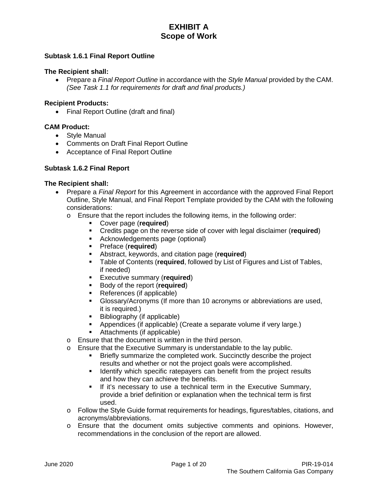#### **Subtask 1.6.1 Final Report Outline**

#### **The Recipient shall:**

• Prepare a *Final Report Outline* in accordance with the *Style Manual* provided by the CAM. *(See Task 1.1 for requirements for draft and final products.)*

#### **Recipient Products:**

• Final Report Outline (draft and final)

#### **CAM Product:**

- Style Manual
- Comments on Draft Final Report Outline
- Acceptance of Final Report Outline

#### **Subtask 1.6.2 Final Report**

- Prepare a *Final Report* for this Agreement in accordance with the approved Final Report Outline, Style Manual, and Final Report Template provided by the CAM with the following considerations:
	- o Ensure that the report includes the following items, in the following order:
		- Cover page (**required**)
		- Credits page on the reverse side of cover with legal disclaimer (**required**)
		- Acknowledgements page (optional)
		- Preface (**required**)
		- Abstract, keywords, and citation page (**required**)
		- Table of Contents (**required**, followed by List of Figures and List of Tables, if needed)
		- **Executive summary (required)**
		- **Body of the report (required)**
		- References (if applicable)
		- Glossary/Acronyms (If more than 10 acronyms or abbreviations are used, it is required.)
		- Bibliography (if applicable)
		- Appendices (if applicable) (Create a separate volume if very large.)
		- Attachments (if applicable)
	- o Ensure that the document is written in the third person.
	- o Ensure that the Executive Summary is understandable to the lay public.<br>Enterty summarize the completed work. Succinctly describe the public.
		- Briefly summarize the completed work. Succinctly describe the project results and whether or not the project goals were accomplished.
		- **If Identify which specific ratepayers can benefit from the project results** and how they can achieve the benefits.
		- **If it's necessary to use a technical term in the Executive Summary,** provide a brief definition or explanation when the technical term is first used.
	- o Follow the Style Guide format requirements for headings, figures/tables, citations, and acronyms/abbreviations.
	- o Ensure that the document omits subjective comments and opinions. However, recommendations in the conclusion of the report are allowed.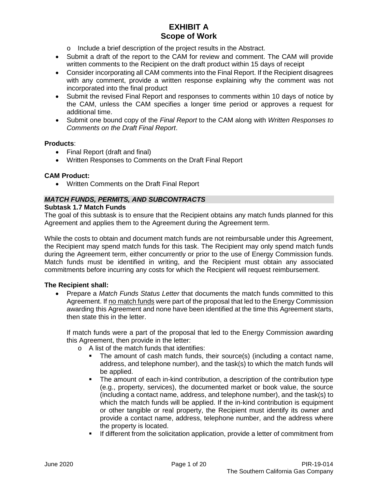- o Include a brief description of the project results in the Abstract.
- Submit a draft of the report to the CAM for review and comment. The CAM will provide written comments to the Recipient on the draft product within 15 days of receipt
- Consider incorporating all CAM comments into the Final Report. If the Recipient disagrees with any comment, provide a written response explaining why the comment was not incorporated into the final product
- Submit the revised Final Report and responses to comments within 10 days of notice by the CAM, unless the CAM specifies a longer time period or approves a request for additional time.
- Submit one bound copy of the *Final Report* to the CAM along with *Written Responses to Comments on the Draft Final Report*.

#### **Products**:

- Final Report (draft and final)
- Written Responses to Comments on the Draft Final Report

#### **CAM Product:**

• Written Comments on the Draft Final Report

### *MATCH FUNDS, PERMITS, AND SUBCONTRACTS*

#### **Subtask 1.7 Match Funds**

The goal of this subtask is to ensure that the Recipient obtains any match funds planned for this Agreement and applies them to the Agreement during the Agreement term.

While the costs to obtain and document match funds are not reimbursable under this Agreement, the Recipient may spend match funds for this task. The Recipient may only spend match funds during the Agreement term, either concurrently or prior to the use of Energy Commission funds. Match funds must be identified in writing, and the Recipient must obtain any associated commitments before incurring any costs for which the Recipient will request reimbursement.

#### **The Recipient shall:**

• Prepare a *Match Funds Status Letter* that documents the match funds committed to this Agreement. If no match funds were part of the proposal that led to the Energy Commission awarding this Agreement and none have been identified at the time this Agreement starts, then state this in the letter.

If match funds were a part of the proposal that led to the Energy Commission awarding this Agreement, then provide in the letter:

- o A list of the match funds that identifies:
	- The amount of cash match funds, their source(s) (including a contact name, address, and telephone number), and the task(s) to which the match funds will be applied.
	- The amount of each in-kind contribution, a description of the contribution type (e.g., property, services), the documented market or book value, the source (including a contact name, address, and telephone number), and the task(s) to which the match funds will be applied. If the in-kind contribution is equipment or other tangible or real property, the Recipient must identify its owner and provide a contact name, address, telephone number, and the address where the property is located.
	- **If different from the solicitation application, provide a letter of commitment from**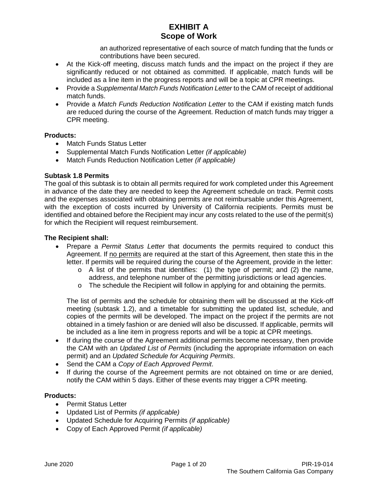an authorized representative of each source of match funding that the funds or contributions have been secured.

- At the Kick-off meeting, discuss match funds and the impact on the project if they are significantly reduced or not obtained as committed. If applicable, match funds will be included as a line item in the progress reports and will be a topic at CPR meetings.
- Provide a *Supplemental Match Funds Notification Letter* to the CAM of receipt of additional match funds.
- Provide a *Match Funds Reduction Notification Letter* to the CAM if existing match funds are reduced during the course of the Agreement. Reduction of match funds may trigger a CPR meeting.

#### **Products:**

- Match Funds Status Letter
- Supplemental Match Funds Notification Letter *(if applicable)*
- Match Funds Reduction Notification Letter *(if applicable)*

### **Subtask 1.8 Permits**

The goal of this subtask is to obtain all permits required for work completed under this Agreement in advance of the date they are needed to keep the Agreement schedule on track. Permit costs and the expenses associated with obtaining permits are not reimbursable under this Agreement, with the exception of costs incurred by University of California recipients. Permits must be identified and obtained before the Recipient may incur any costs related to the use of the permit(s) for which the Recipient will request reimbursement.

#### **The Recipient shall:**

- Prepare a *Permit Status Letter* that documents the permits required to conduct this Agreement. If no permits are required at the start of this Agreement, then state this in the letter. If permits will be required during the course of the Agreement, provide in the letter:
	- $\circ$  A list of the permits that identifies: (1) the type of permit; and (2) the name, address, and telephone number of the permitting jurisdictions or lead agencies.
	- o The schedule the Recipient will follow in applying for and obtaining the permits.

The list of permits and the schedule for obtaining them will be discussed at the Kick-off meeting (subtask 1.2), and a timetable for submitting the updated list, schedule, and copies of the permits will be developed. The impact on the project if the permits are not obtained in a timely fashion or are denied will also be discussed. If applicable, permits will be included as a line item in progress reports and will be a topic at CPR meetings.

- If during the course of the Agreement additional permits become necessary, then provide the CAM with an *Updated List of Permits* (including the appropriate information on each permit) and an *Updated Schedule for Acquiring Permits*.
- Send the CAM a *Copy of Each Approved Permit*.
- If during the course of the Agreement permits are not obtained on time or are denied, notify the CAM within 5 days. Either of these events may trigger a CPR meeting.

#### **Products:**

- Permit Status Letter
- Updated List of Permits *(if applicable)*
- Updated Schedule for Acquiring Permits *(if applicable)*
- Copy of Each Approved Permit *(if applicable)*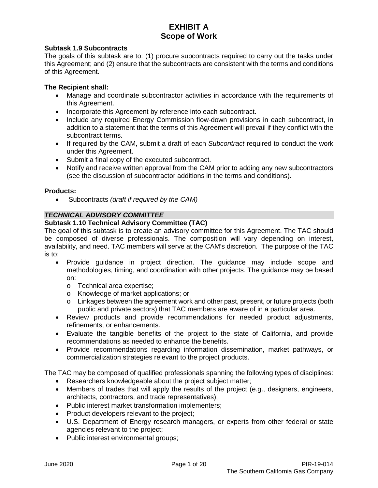#### **Subtask 1.9 Subcontracts**

The goals of this subtask are to: (1) procure subcontracts required to carry out the tasks under this Agreement; and (2) ensure that the subcontracts are consistent with the terms and conditions of this Agreement.

#### **The Recipient shall:**

- Manage and coordinate subcontractor activities in accordance with the requirements of this Agreement.
- Incorporate this Agreement by reference into each subcontract.
- Include any required Energy Commission flow-down provisions in each subcontract, in addition to a statement that the terms of this Agreement will prevail if they conflict with the subcontract terms.
- If required by the CAM, submit a draft of each *Subcontract* required to conduct the work under this Agreement.
- Submit a final copy of the executed subcontract.
- Notify and receive written approval from the CAM prior to adding any new subcontractors (see the discussion of subcontractor additions in the terms and conditions).

#### **Products:**

• Subcontracts *(draft if required by the CAM)*

### *TECHNICAL ADVISORY COMMITTEE*

#### **Subtask 1.10 Technical Advisory Committee (TAC)**

The goal of this subtask is to create an advisory committee for this Agreement. The TAC should be composed of diverse professionals. The composition will vary depending on interest, availability, and need. TAC members will serve at the CAM's discretion. The purpose of the TAC is to:

- Provide guidance in project direction. The guidance may include scope and methodologies, timing, and coordination with other projects. The guidance may be based on:
	- o Technical area expertise;
	- o Knowledge of market applications; or
	- o Linkages between the agreement work and other past, present, or future projects (both public and private sectors) that TAC members are aware of in a particular area.
- Review products and provide recommendations for needed product adjustments, refinements, or enhancements.
- Evaluate the tangible benefits of the project to the state of California, and provide recommendations as needed to enhance the benefits.
- Provide recommendations regarding information dissemination, market pathways, or commercialization strategies relevant to the project products.

The TAC may be composed of qualified professionals spanning the following types of disciplines:

- Researchers knowledgeable about the project subject matter;
- Members of trades that will apply the results of the project (e.g., designers, engineers, architects, contractors, and trade representatives);
- Public interest market transformation implementers;
- Product developers relevant to the project;
- U.S. Department of Energy research managers, or experts from other federal or state agencies relevant to the project;
- Public interest environmental groups;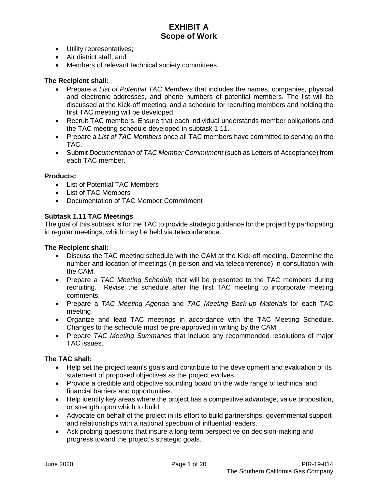- Utility representatives;
- Air district staff; and
- Members of relevant technical society committees.

#### **The Recipient shall:**

- Prepare a *List of Potential TAC Members* that includes the names, companies, physical and electronic addresses, and phone numbers of potential members. The list will be discussed at the Kick-off meeting, and a schedule for recruiting members and holding the first TAC meeting will be developed.
- Recruit TAC members. Ensure that each individual understands member obligations and the TAC meeting schedule developed in subtask 1.11.
- Prepare a *List of TAC Members* once all TAC members have committed to serving on the TAC.
- Submit *Documentation of TAC Member Commitment* (such as Letters of Acceptance) from each TAC member.

#### **Products:**

- List of Potential TAC Members
- List of TAC Members
- Documentation of TAC Member Commitment

#### **Subtask 1.11 TAC Meetings**

The goal of this subtask is for the TAC to provide strategic guidance for the project by participating in regular meetings, which may be held via teleconference.

#### **The Recipient shall:**

- Discuss the TAC meeting schedule with the CAM at the Kick-off meeting. Determine the number and location of meetings (in-person and via teleconference) in consultation with the CAM.
- Prepare a *TAC Meeting Schedule* that will be presented to the TAC members during recruiting. Revise the schedule after the first TAC meeting to incorporate meeting comments.
- Prepare a *TAC Meeting Agenda* and *TAC Meeting Back-up Materials* for each TAC meeting.
- Organize and lead TAC meetings in accordance with the TAC Meeting Schedule. Changes to the schedule must be pre-approved in writing by the CAM.
- Prepare *TAC Meeting Summaries* that include any recommended resolutions of major TAC issues.

#### **The TAC shall:**

- Help set the project team's goals and contribute to the development and evaluation of its statement of proposed objectives as the project evolves.
- Provide a credible and objective sounding board on the wide range of technical and financial barriers and opportunities.
- Help identify key areas where the project has a competitive advantage, value proposition, or strength upon which to build.
- Advocate on behalf of the project in its effort to build partnerships, governmental support and relationships with a national spectrum of influential leaders.
- Ask probing questions that insure a long-term perspective on decision-making and progress toward the project's strategic goals.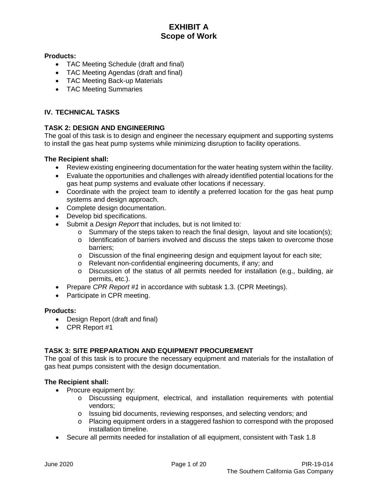### **Products:**

- TAC Meeting Schedule (draft and final)
- TAC Meeting Agendas (draft and final)
- TAC Meeting Back-up Materials
- TAC Meeting Summaries

### **IV. TECHNICAL TASKS**

### **TASK 2: DESIGN AND ENGINEERING**

The goal of this task is to design and engineer the necessary equipment and supporting systems to install the gas heat pump systems while minimizing disruption to facility operations.

#### **The Recipient shall:**

- Review existing engineering documentation for the water heating system within the facility.
- Evaluate the opportunities and challenges with already identified potential locations for the gas heat pump systems and evaluate other locations if necessary.
- Coordinate with the project team to identify a preferred location for the gas heat pump systems and design approach.
- Complete design documentation.
- Develop bid specifications.
- Submit a *Design Report* that includes, but is not limited to:
	- $\circ$  Summary of the steps taken to reach the final design, layout and site location(s);
	- $\circ$  Identification of barriers involved and discuss the steps taken to overcome those barriers;
	- $\circ$  Discussion of the final engineering design and equipment layout for each site;
	- o Relevant non-confidential engineering documents, if any; and
	- $\circ$  Discussion of the status of all permits needed for installation (e.g., building, air permits, etc.).
- Prepare *CPR Report #1* in accordance with subtask 1.3. (CPR Meetings).
- Participate in CPR meeting.

#### **Products:**

- Design Report (draft and final)
- CPR Report #1

### **TASK 3: SITE PREPARATION AND EQUIPMENT PROCUREMENT**

The goal of this task is to procure the necessary equipment and materials for the installation of gas heat pumps consistent with the design documentation.

- Procure equipment by:
	- o Discussing equipment, electrical, and installation requirements with potential vendors;
	- o Issuing bid documents, reviewing responses, and selecting vendors; and
	- o Placing equipment orders in a staggered fashion to correspond with the proposed installation timeline.
- Secure all permits needed for installation of all equipment, consistent with Task 1.8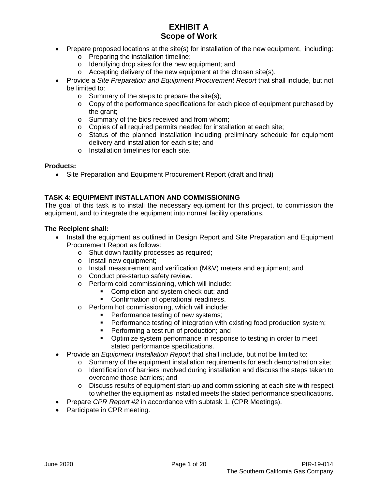- Prepare proposed locations at the site(s) for installation of the new equipment, including:
	- o Preparing the installation timeline;
	- o Identifying drop sites for the new equipment; and
	- o Accepting delivery of the new equipment at the chosen site(s).
- Provide a *Site Preparation and Equipment Procurement Report* that shall include, but not be limited to:
	- o Summary of the steps to prepare the site(s);
	- $\circ$  Copy of the performance specifications for each piece of equipment purchased by the grant;
	- o Summary of the bids received and from whom;
	- o Copies of all required permits needed for installation at each site;
	- o Status of the planned installation including preliminary schedule for equipment delivery and installation for each site; and
	- o Installation timelines for each site.

#### **Products:**

• Site Preparation and Equipment Procurement Report (draft and final)

### **TASK 4: EQUIPMENT INSTALLATION AND COMMISSIONING**

The goal of this task is to install the necessary equipment for this project, to commission the equipment, and to integrate the equipment into normal facility operations.

- Install the equipment as outlined in Design Report and Site Preparation and Equipment Procurement Report as follows:
	- o Shut down facility processes as required;
	- o Install new equipment;
	- o Install measurement and verification (M&V) meters and equipment; and
	- o Conduct pre-startup safety review.
	- o Perform cold commissioning, which will include:
		- Completion and system check out; and
		- **Confirmation of operational readiness.**
	- o Perform hot commissioning, which will include:
		- **Performance testing of new systems;**
		- Performance testing of integration with existing food production system;
		- Performing a test run of production; and
		- Optimize system performance in response to testing in order to meet stated performance specifications.
- Provide an *Equipment Installation Report* that shall include, but not be limited to:
	- o Summary of the equipment installation requirements for each demonstration site;
		- o Identification of barriers involved during installation and discuss the steps taken to overcome those barriers; and
		- $\circ$  Discuss results of equipment start-up and commissioning at each site with respect to whether the equipment as installed meets the stated performance specifications.
- Prepare *CPR Report #2* in accordance with subtask 1. (CPR Meetings).
- Participate in CPR meeting.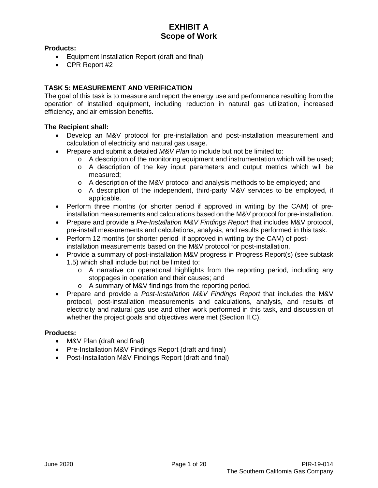### **Products:**

- Equipment Installation Report (draft and final)
- CPR Report #2

### **TASK 5: MEASUREMENT AND VERIFICATION**

The goal of this task is to measure and report the energy use and performance resulting from the operation of installed equipment, including reduction in natural gas utilization, increased efficiency, and air emission benefits.

### **The Recipient shall:**

- Develop an M&V protocol for pre-installation and post-installation measurement and calculation of electricity and natural gas usage.
- Prepare and submit a detailed *M&V Plan* to include but not be limited to:
	- $\circ$  A description of the monitoring equipment and instrumentation which will be used;
	- o A description of the key input parameters and output metrics which will be measured;
	- o A description of the M&V protocol and analysis methods to be employed; and
	- o A description of the independent, third-party M&V services to be employed, if applicable.
- Perform three months (or shorter period if approved in writing by the CAM) of preinstallation measurements and calculations based on the M&V protocol for pre-installation.
- Prepare and provide a *Pre-Installation M&V Findings Report* that includes M&V protocol, pre-install measurements and calculations, analysis, and results performed in this task.
- Perform 12 months (or shorter period if approved in writing by the CAM) of postinstallation measurements based on the M&V protocol for post-installation.
- Provide a summary of post-installation M&V progress in Progress Report(s) (see subtask 1.5) which shall include but not be limited to:
	- o A narrative on operational highlights from the reporting period, including any stoppages in operation and their causes; and
	- o A summary of M&V findings from the reporting period.
- Prepare and provide a *Post-Installation M&V Findings Report* that includes the M&V protocol, post-installation measurements and calculations, analysis, and results of electricity and natural gas use and other work performed in this task, and discussion of whether the project goals and objectives were met (Section II.C).

### **Products:**

- M&V Plan (draft and final)
- Pre-Installation M&V Findings Report (draft and final)
- Post-Installation M&V Findings Report (draft and final)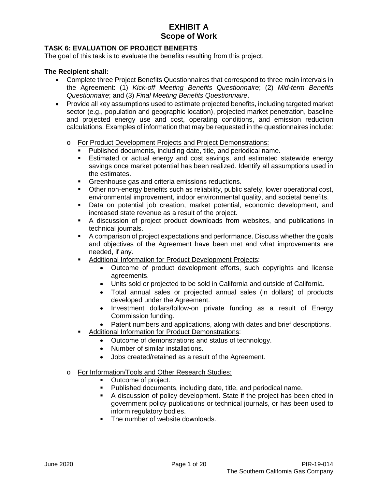### **TASK 6: EVALUATION OF PROJECT BENEFITS**

The goal of this task is to evaluate the benefits resulting from this project.

- Complete three Project Benefits Questionnaires that correspond to three main intervals in the Agreement: (1) *Kick-off Meeting Benefits Questionnaire*; (2) *Mid-term Benefits Questionnaire*; and (3) *Final Meeting Benefits Questionnaire*.
- Provide all key assumptions used to estimate projected benefits, including targeted market sector (e.g., population and geographic location), projected market penetration, baseline and projected energy use and cost, operating conditions, and emission reduction calculations. Examples of information that may be requested in the questionnaires include:
	- o For Product Development Projects and Project Demonstrations:
		- Published documents, including date, title, and periodical name.
		- Estimated or actual energy and cost savings, and estimated statewide energy savings once market potential has been realized. Identify all assumptions used in the estimates.
		- Greenhouse gas and criteria emissions reductions.
		- **Other non-energy benefits such as reliability, public safety, lower operational cost,** environmental improvement, indoor environmental quality, and societal benefits.
		- Data on potential job creation, market potential, economic development, and increased state revenue as a result of the project.
		- A discussion of project product downloads from websites, and publications in technical journals.
		- A comparison of project expectations and performance. Discuss whether the goals and objectives of the Agreement have been met and what improvements are needed, if any.
		- Additional Information for Product Development Projects:
			- Outcome of product development efforts, such copyrights and license agreements.
			- Units sold or projected to be sold in California and outside of California.
			- Total annual sales or projected annual sales (in dollars) of products developed under the Agreement.
			- Investment dollars/follow-on private funding as a result of Energy Commission funding.
			- Patent numbers and applications, along with dates and brief descriptions.
			- Additional Information for Product Demonstrations:
				- Outcome of demonstrations and status of technology.
				- Number of similar installations.
				- Jobs created/retained as a result of the Agreement.
	- o For Information/Tools and Other Research Studies:
		- Outcome of project.
		- Published documents, including date, title, and periodical name.
		- A discussion of policy development. State if the project has been cited in government policy publications or technical journals, or has been used to inform regulatory bodies.
		- The number of website downloads.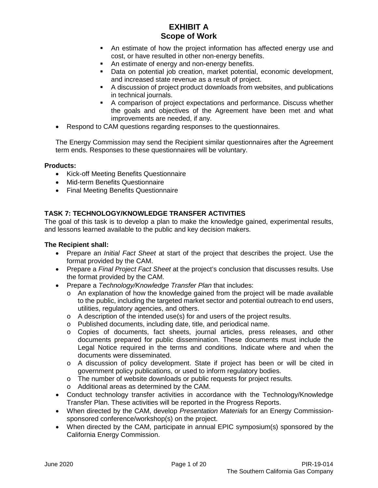- An estimate of how the project information has affected energy use and cost, or have resulted in other non-energy benefits.
- An estimate of energy and non-energy benefits.
- Data on potential job creation, market potential, economic development, and increased state revenue as a result of project.
- A discussion of project product downloads from websites, and publications in technical journals.
- A comparison of project expectations and performance. Discuss whether the goals and objectives of the Agreement have been met and what improvements are needed, if any.
- Respond to CAM questions regarding responses to the questionnaires.

The Energy Commission may send the Recipient similar questionnaires after the Agreement term ends. Responses to these questionnaires will be voluntary.

#### **Products:**

- Kick-off Meeting Benefits Questionnaire
- Mid-term Benefits Questionnaire
- Final Meeting Benefits Questionnaire

### **TASK 7: TECHNOLOGY/KNOWLEDGE TRANSFER ACTIVITIES**

The goal of this task is to develop a plan to make the knowledge gained, experimental results, and lessons learned available to the public and key decision makers.

- Prepare an *Initial Fact Sheet* at start of the project that describes the project. Use the format provided by the CAM.
- Prepare a *Final Project Fact Sheet* at the project's conclusion that discusses results. Use the format provided by the CAM.
- Prepare a *Technology/Knowledge Transfer Plan* that includes:
	- $\circ$  An explanation of how the knowledge gained from the project will be made available to the public, including the targeted market sector and potential outreach to end users, utilities, regulatory agencies, and others.
	- o A description of the intended use(s) for and users of the project results.
	- o Published documents, including date, title, and periodical name.
	- o Copies of documents, fact sheets, journal articles, press releases, and other documents prepared for public dissemination. These documents must include the Legal Notice required in the terms and conditions. Indicate where and when the documents were disseminated.
	- o A discussion of policy development. State if project has been or will be cited in government policy publications, or used to inform regulatory bodies.
	- o The number of website downloads or public requests for project results.
	- o Additional areas as determined by the CAM.
- Conduct technology transfer activities in accordance with the Technology/Knowledge Transfer Plan. These activities will be reported in the Progress Reports.
- When directed by the CAM, develop *Presentation Materials* for an Energy Commissionsponsored conference/workshop(s) on the project.
- When directed by the CAM, participate in annual EPIC symposium(s) sponsored by the California Energy Commission.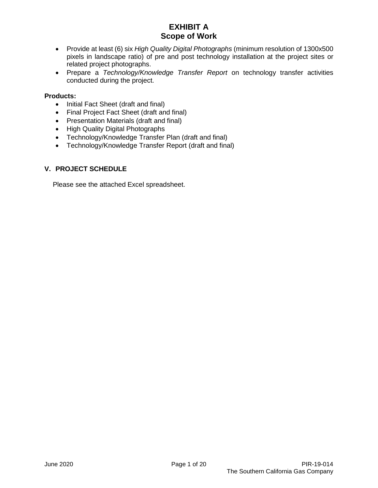- Provide at least (6) six *High Quality Digital Photographs* (minimum resolution of 1300x500 pixels in landscape ratio) of pre and post technology installation at the project sites or related project photographs.
- Prepare a *Technology/Knowledge Transfer Report* on technology transfer activities conducted during the project.

### **Products:**

- Initial Fact Sheet (draft and final)
- Final Project Fact Sheet (draft and final)
- Presentation Materials (draft and final)
- High Quality Digital Photographs
- Technology/Knowledge Transfer Plan (draft and final)
- Technology/Knowledge Transfer Report (draft and final)

### **V. PROJECT SCHEDULE**

Please see the attached Excel spreadsheet.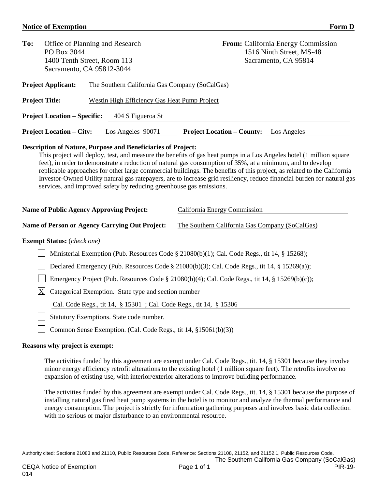#### **Notice of Exemption** Form D

| To:<br>Office of Planning and Research<br>PO Box 3044<br>1400 Tenth Street, Room 113<br>Sacramento, CA 95812-3044                                                                                                                                                                                                                                                                                                                                                                                                                                                                                                                                                                                                       |                                                | <b>From:</b> California Energy Commission<br>1516 Ninth Street, MS-48<br>Sacramento, CA 95814 |  |  |  |
|-------------------------------------------------------------------------------------------------------------------------------------------------------------------------------------------------------------------------------------------------------------------------------------------------------------------------------------------------------------------------------------------------------------------------------------------------------------------------------------------------------------------------------------------------------------------------------------------------------------------------------------------------------------------------------------------------------------------------|------------------------------------------------|-----------------------------------------------------------------------------------------------|--|--|--|
| <b>Project Applicant:</b>                                                                                                                                                                                                                                                                                                                                                                                                                                                                                                                                                                                                                                                                                               | The Southern California Gas Company (SoCalGas) |                                                                                               |  |  |  |
| <b>Project Title:</b>                                                                                                                                                                                                                                                                                                                                                                                                                                                                                                                                                                                                                                                                                                   | Westin High Efficiency Gas Heat Pump Project   |                                                                                               |  |  |  |
| <b>Project Location – Specific:</b>                                                                                                                                                                                                                                                                                                                                                                                                                                                                                                                                                                                                                                                                                     | 404 S Figueroa St                              |                                                                                               |  |  |  |
| <b>Project Location – City:</b> Los Angeles 90071                                                                                                                                                                                                                                                                                                                                                                                                                                                                                                                                                                                                                                                                       |                                                | <b>Project Location – County:</b> Los Angeles                                                 |  |  |  |
| <b>Description of Nature, Purpose and Beneficiaries of Project:</b><br>This project will deploy, test, and measure the benefits of gas heat pumps in a Los Angeles hotel (1 million square<br>feet), in order to demonstrate a reduction of natural gas consumption of 35%, at a minimum, and to develop<br>replicable approaches for other large commercial buildings. The benefits of this project, as related to the California<br>Investor-Owned Utility natural gas ratepayers, are to increase grid resiliency, reduce financial burden for natural gas<br>services, and improved safety by reducing greenhouse gas emissions.<br><b>Name of Public Agency Approving Project:</b><br>California Energy Commission |                                                |                                                                                               |  |  |  |
| Name of Person or Agency Carrying Out Project:                                                                                                                                                                                                                                                                                                                                                                                                                                                                                                                                                                                                                                                                          |                                                | The Southern California Gas Company (SoCalGas)                                                |  |  |  |
| <b>Exempt Status:</b> (check one)                                                                                                                                                                                                                                                                                                                                                                                                                                                                                                                                                                                                                                                                                       |                                                |                                                                                               |  |  |  |
| Ministerial Exemption (Pub. Resources Code § 21080(b)(1); Cal. Code Regs., tit 14, § 15268);                                                                                                                                                                                                                                                                                                                                                                                                                                                                                                                                                                                                                            |                                                |                                                                                               |  |  |  |
| Declared Emergency (Pub. Resources Code § 21080(b)(3); Cal. Code Regs., tit 14, § 15269(a));                                                                                                                                                                                                                                                                                                                                                                                                                                                                                                                                                                                                                            |                                                |                                                                                               |  |  |  |
| Emergency Project (Pub. Resources Code § 21080(b)(4); Cal. Code Regs., tit 14, § 15269(b)(c));                                                                                                                                                                                                                                                                                                                                                                                                                                                                                                                                                                                                                          |                                                |                                                                                               |  |  |  |
| $\bf{X}$<br>Categorical Exemption. State type and section number                                                                                                                                                                                                                                                                                                                                                                                                                                                                                                                                                                                                                                                        |                                                |                                                                                               |  |  |  |
| Cal. Code Regs., tit 14, § 15301 ; Cal. Code Regs., tit 14, § 15306                                                                                                                                                                                                                                                                                                                                                                                                                                                                                                                                                                                                                                                     |                                                |                                                                                               |  |  |  |
|                                                                                                                                                                                                                                                                                                                                                                                                                                                                                                                                                                                                                                                                                                                         | Statutory Exemptions. State code number.       |                                                                                               |  |  |  |

□ Common Sense Exemption. (Cal. Code Regs., tit 14, §15061(b)(3))

### **Reasons why project is exempt:**

The activities funded by this agreement are exempt under Cal. Code Regs., tit. 14, § 15301 because they involve minor energy efficiency retrofit alterations to the existing hotel (1 million square feet). The retrofits involve no expansion of existing use, with interior/exterior alterations to improve building performance.

The activities funded by this agreement are exempt under Cal. Code Regs., tit. 14, § 15301 because the purpose of installing natural gas fired heat pump systems in the hotel is to monitor and analyze the thermal performance and energy consumption. The project is strictly for information gathering purposes and involves basic data collection with no serious or major disturbance to an environmental resource.

Authority cited: Sections 21083 and 21110, Public Resources Code. Reference: Sections 21108, 21152, and 21152.1, Public Resources Code.

The Southern California Gas Company (SoCalGas)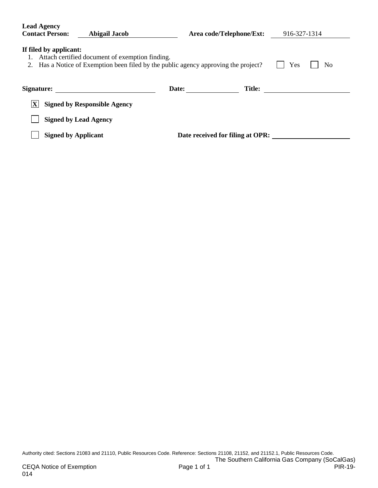| <b>Lead Agency</b><br><b>Contact Person:</b><br>Abigail Jacob                                                                                                                                | Area code/Telephone/Ext:         | 916-327-1314 |  |  |  |
|----------------------------------------------------------------------------------------------------------------------------------------------------------------------------------------------|----------------------------------|--------------|--|--|--|
| If filed by applicant:<br>Attach certified document of exemption finding.<br>Has a Notice of Exemption been filed by the public agency approving the project?<br>Yes<br>N <sub>0</sub><br>2. |                                  |              |  |  |  |
| Signature:                                                                                                                                                                                   | <b>Title:</b><br>Date:           |              |  |  |  |
| $\mathbf{X}'$<br><b>Signed by Responsible Agency</b>                                                                                                                                         |                                  |              |  |  |  |
| <b>Signed by Lead Agency</b>                                                                                                                                                                 |                                  |              |  |  |  |
| <b>Signed by Applicant</b>                                                                                                                                                                   | Date received for filing at OPR: |              |  |  |  |